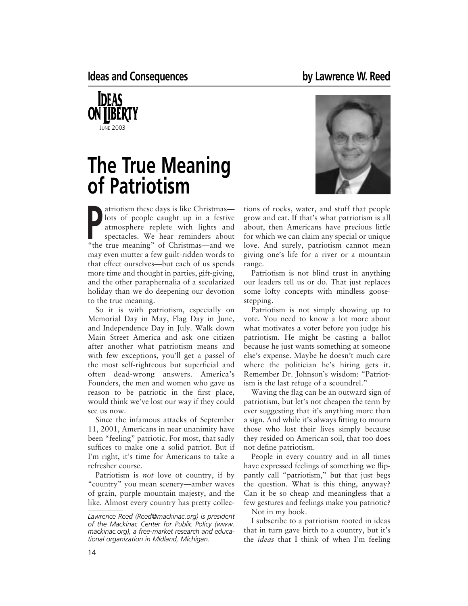

## **The True Meaning of Patriotism**

atriotism these days is like Christmas—<br>lots of people caught up in a festive<br>atmosphere replete with lights and<br>spectacles. We hear reminders about<br>"the true meaning" of Christmas and was lots of people caught up in a festive atmosphere replete with lights and "the true meaning" of Christmas—and we may even mutter a few guilt-ridden words to that effect ourselves—but each of us spends more time and thought in parties, gift-giving, and the other paraphernalia of a secularized holiday than we do deepening our devotion to the true meaning.

So it is with patriotism, especially on Memorial Day in May, Flag Day in June, and Independence Day in July. Walk down Main Street America and ask one citizen after another what patriotism means and with few exceptions, you'll get a passel of the most self-righteous but superficial and often dead-wrong answers. America's Founders, the men and women who gave us reason to be patriotic in the first place, would think we've lost our way if they could see us now.

Since the infamous attacks of September 11, 2001, Americans in near unanimity have been "feeling" patriotic. For most, that sadly suffices to make one a solid patriot. But if I'm right, it's time for Americans to take a refresher course.

Patriotism is *not* love of country, if by "country" you mean scenery—amber waves of grain, purple mountain majesty, and the like. Almost every country has pretty collec-



tions of rocks, water, and stuff that people grow and eat. If that's what patriotism is all about, then Americans have precious little for which we can claim any special or unique love. And surely, patriotism cannot mean giving one's life for a river or a mountain range.

Patriotism is not blind trust in anything our leaders tell us or do. That just replaces some lofty concepts with mindless goosestepping.

Patriotism is not simply showing up to vote. You need to know a lot more about what motivates a voter before you judge his patriotism. He might be casting a ballot because he just wants something at someone else's expense. Maybe he doesn't much care where the politician he's hiring gets it. Remember Dr. Johnson's wisdom: "Patriotism is the last refuge of a scoundrel."

Waving the flag can be an outward sign of patriotism, but let's not cheapen the term by ever suggesting that it's anything more than a sign. And while it's always fitting to mourn those who lost their lives simply because they resided on American soil, that too does not define patriotism.

People in every country and in all times have expressed feelings of something we flippantly call "patriotism," but that just begs the question. What is this thing, anyway? Can it be so cheap and meaningless that a few gestures and feelings make you patriotic? Not in my book.

I subscribe to a patriotism rooted in ideas that in turn gave birth to a country, but it's the *ideas* that I think of when I'm feeling

*Lawrence Reed (Reed@mackinac.org) is president of the Mackinac Center for Public Policy (www. mackinac.org), a free-market research and educational organization in Midland, Michigan.*